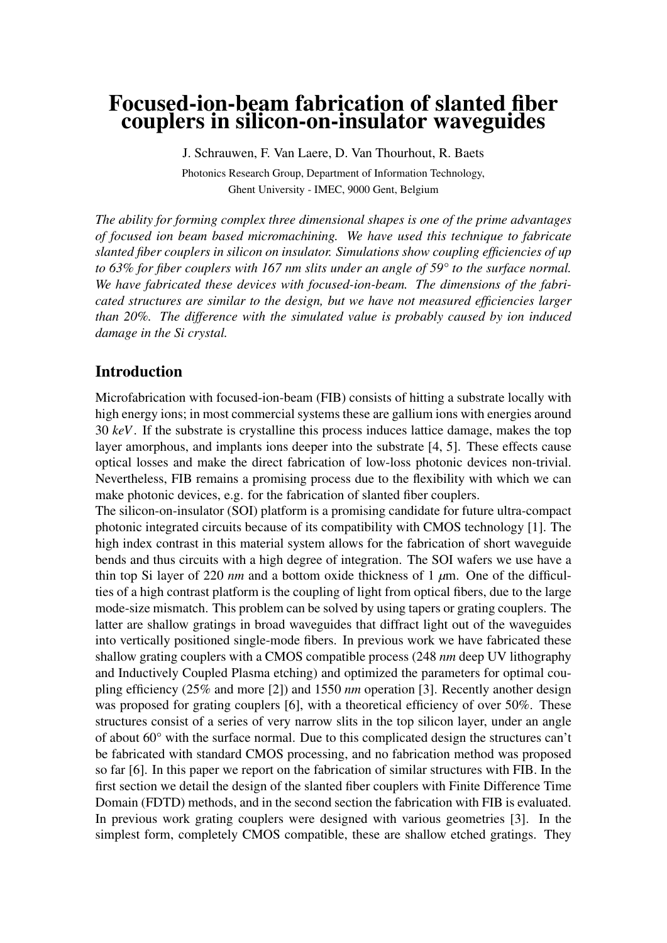# Focused-ion-beam fabrication of slanted fiber couplers in silicon-on-insulator waveguides

J. Schrauwen, F. Van Laere, D. Van Thourhout, R. Baets Photonics Research Group, Department of Information Technology, Ghent University - IMEC, 9000 Gent, Belgium

*The ability for forming complex three dimensional shapes is one of the prime advantages of focused ion beam based micromachining. We have used this technique to fabricate slanted fiber couplers in silicon on insulator. Simulations show coupling efficiencies of up to 63% for fiber couplers with 167 nm slits under an angle of 59° to the surface normal. We have fabricated these devices with focused-ion-beam. The dimensions of the fabricated structures are similar to the design, but we have not measured efficiencies larger than 20%. The difference with the simulated value is probably caused by ion induced damage in the Si crystal.*

# Introduction

Microfabrication with focused-ion-beam (FIB) consists of hitting a substrate locally with high energy ions; in most commercial systems these are gallium ions with energies around 30 *keV*. If the substrate is crystalline this process induces lattice damage, makes the top layer amorphous, and implants ions deeper into the substrate [4, 5]. These effects cause optical losses and make the direct fabrication of low-loss photonic devices non-trivial. Nevertheless, FIB remains a promising process due to the flexibility with which we can make photonic devices, e.g. for the fabrication of slanted fiber couplers.

The silicon-on-insulator (SOI) platform is a promising candidate for future ultra-compact photonic integrated circuits because of its compatibility with CMOS technology [1]. The high index contrast in this material system allows for the fabrication of short waveguide bends and thus circuits with a high degree of integration. The SOI wafers we use have a thin top Si layer of 220 *nm* and a bottom oxide thickness of 1 *µ*m. One of the difficulties of a high contrast platform is the coupling of light from optical fibers, due to the large mode-size mismatch. This problem can be solved by using tapers or grating couplers. The latter are shallow gratings in broad waveguides that diffract light out of the waveguides into vertically positioned single-mode fibers. In previous work we have fabricated these shallow grating couplers with a CMOS compatible process (248 *nm* deep UV lithography and Inductively Coupled Plasma etching) and optimized the parameters for optimal coupling efficiency (25% and more [2]) and 1550 *nm* operation [3]. Recently another design was proposed for grating couplers [6], with a theoretical efficiency of over 50%. These structures consist of a series of very narrow slits in the top silicon layer, under an angle of about 60° with the surface normal. Due to this complicated design the structures can't be fabricated with standard CMOS processing, and no fabrication method was proposed so far [6]. In this paper we report on the fabrication of similar structures with FIB. In the first section we detail the design of the slanted fiber couplers with Finite Difference Time Domain (FDTD) methods, and in the second section the fabrication with FIB is evaluated. In previous work grating couplers were designed with various geometries [3]. In the simplest form, completely CMOS compatible, these are shallow etched gratings. They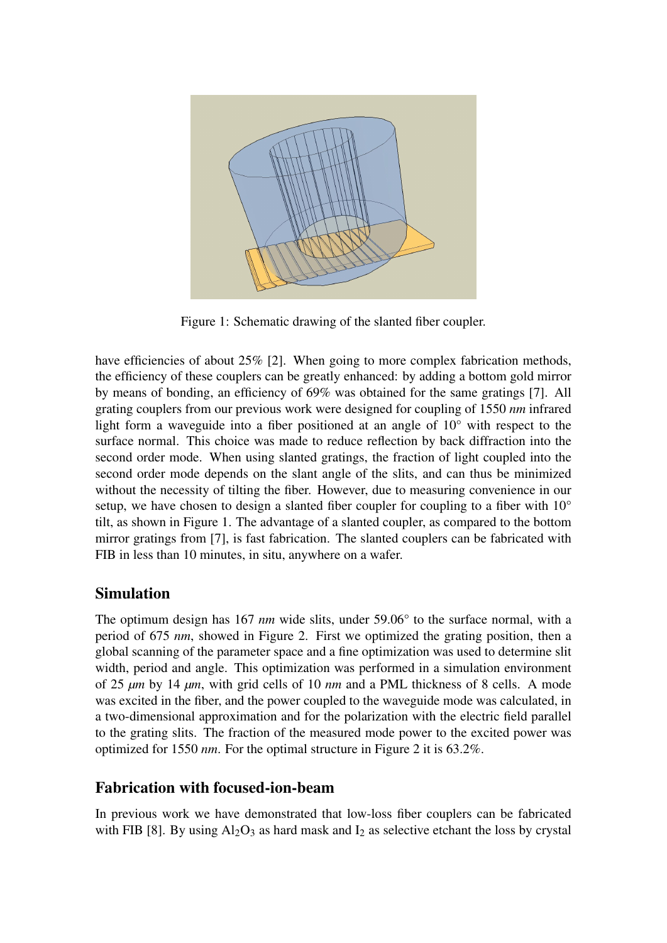

Figure 1: Schematic drawing of the slanted fiber coupler.

have efficiencies of about 25% [2]. When going to more complex fabrication methods, the efficiency of these couplers can be greatly enhanced: by adding a bottom gold mirror by means of bonding, an efficiency of 69% was obtained for the same gratings [7]. All grating couplers from our previous work were designed for coupling of 1550 *nm* infrared light form a waveguide into a fiber positioned at an angle of 10° with respect to the surface normal. This choice was made to reduce reflection by back diffraction into the second order mode. When using slanted gratings, the fraction of light coupled into the second order mode depends on the slant angle of the slits, and can thus be minimized without the necessity of tilting the fiber. However, due to measuring convenience in our setup, we have chosen to design a slanted fiber coupler for coupling to a fiber with  $10^{\circ}$ tilt, as shown in Figure 1. The advantage of a slanted coupler, as compared to the bottom mirror gratings from [7], is fast fabrication. The slanted couplers can be fabricated with FIB in less than 10 minutes, in situ, anywhere on a wafer.

# Simulation

The optimum design has 167 *nm* wide slits, under 59.06° to the surface normal, with a period of 675 *nm*, showed in Figure 2. First we optimized the grating position, then a global scanning of the parameter space and a fine optimization was used to determine slit width, period and angle. This optimization was performed in a simulation environment of 25 *µm* by 14 *µm*, with grid cells of 10 *nm* and a PML thickness of 8 cells. A mode was excited in the fiber, and the power coupled to the waveguide mode was calculated, in a two-dimensional approximation and for the polarization with the electric field parallel to the grating slits. The fraction of the measured mode power to the excited power was optimized for 1550 *nm*. For the optimal structure in Figure 2 it is 63.2%.

#### Fabrication with focused-ion-beam

In previous work we have demonstrated that low-loss fiber couplers can be fabricated with FIB [8]. By using  $Al_2O_3$  as hard mask and  $I_2$  as selective etchant the loss by crystal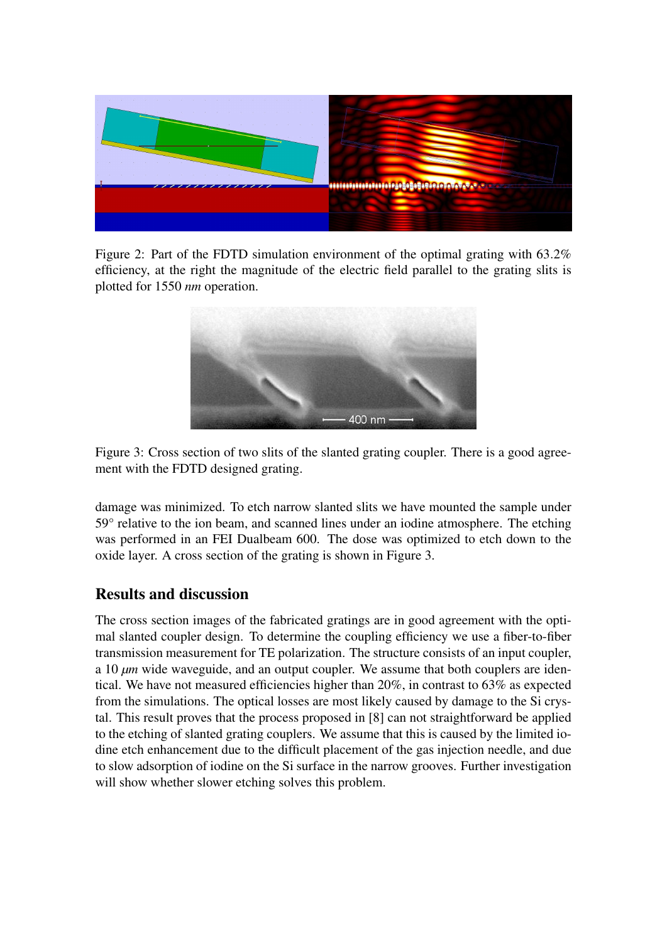

Figure 2: Part of the FDTD simulation environment of the optimal grating with 63.2% efficiency, at the right the magnitude of the electric field parallel to the grating slits is plotted for 1550 *nm* operation.



Figure 3: Cross section of two slits of the slanted grating coupler. There is a good agreement with the FDTD designed grating.

damage was minimized. To etch narrow slanted slits we have mounted the sample under 59° relative to the ion beam, and scanned lines under an iodine atmosphere. The etching was performed in an FEI Dualbeam 600. The dose was optimized to etch down to the oxide layer. A cross section of the grating is shown in Figure 3.

# Results and discussion

The cross section images of the fabricated gratings are in good agreement with the optimal slanted coupler design. To determine the coupling efficiency we use a fiber-to-fiber transmission measurement for TE polarization. The structure consists of an input coupler, a 10 *µm* wide waveguide, and an output coupler. We assume that both couplers are identical. We have not measured efficiencies higher than 20%, in contrast to 63% as expected from the simulations. The optical losses are most likely caused by damage to the Si crystal. This result proves that the process proposed in [8] can not straightforward be applied to the etching of slanted grating couplers. We assume that this is caused by the limited iodine etch enhancement due to the difficult placement of the gas injection needle, and due to slow adsorption of iodine on the Si surface in the narrow grooves. Further investigation will show whether slower etching solves this problem.